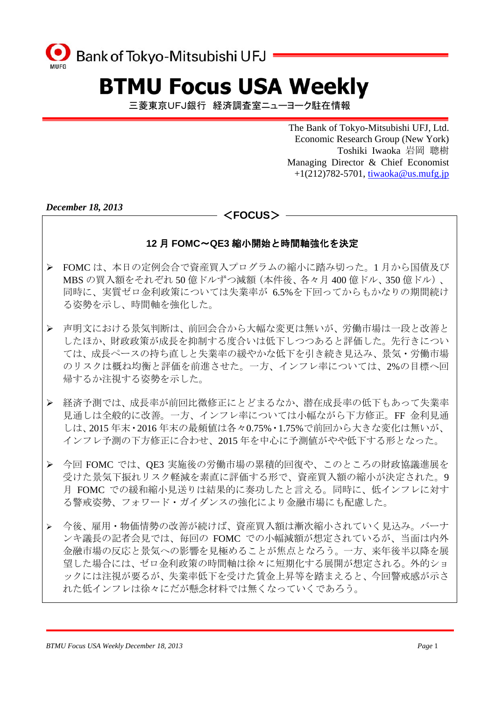

# **BTMU Focus USA Weekly**

三菱東京UFJ銀行 経済調査室ニューヨーク駐在情報

 The Bank of Tokyo-Mitsubishi UFJ, Ltd. Economic Research Group (New York) Toshiki Iwaoka 岩岡 聰樹 Managing Director & Chief Economist  $+1(212)782-5701$ , tiwaoka@us.mufg.jp

*December 18, 2013* 

## <**FOCUS**>

### **12** 月 **FOMC**~**QE3** 縮小開始と時間軸強化を決定

- ¾ FOMC は、本日の定例会合で資産買入プログラムの縮小に踏み切った。1 月から国債及び MBS の買入額をそれぞれ 50 億ドルずつ減額(本件後、各々月 400 億ドル、350 億ドル)、 同時に、実質ゼロ金利政策については失業率が 6.5%を下回ってからもかなりの期間続け る姿勢を示し、時間軸を強化した。
- ¾ 声明文における景気判断は、前回会合から大幅な変更は無いが、労働市場は一段と改善と したほか、財政政策が成長を抑制する度合いは低下しつつあると評価した。先行きについ ては、成長ペースの持ち直しと失業率の緩やかな低下を引き続き見込み、景気・労働市場 のリスクは概ね均衡と評価を前進させた。一方、インフレ率については、2%の目標へ回 帰するか注視する姿勢を示した。
- ¾ 経済予測では、成長率が前回比微修正にとどまるなか、潜在成長率の低下もあって失業率 見通しは全般的に改善。一方、インフレ率については小幅ながら下方修正。FF 金利見通 しは、2015 年末・2016 年末の最頻値は各々0.75%・1.75%で前回から大きな変化は無いが、 インフレ予測の下方修正に合わせ、2015 年を中心に予測値がやや低下する形となった。
- ¾ 今回 FOMC では、QE3 実施後の労働市場の累積的回復や、このところの財政協議進展を 受けた景気下振れリスク軽減を素直に評価する形で、資産買入額の縮小が決定された。9 月 FOMC での緩和縮小見送りは結果的に奏功したと言える。同時に、低インフレに対す る警戒姿勢、フォワード・ガイダンスの強化により金融市場にも配慮した。
- ▶ 今後、雇用・物価情勢の改善が続けば、資産買入額は漸次縮小されていく見込み。バーナ ンキ議長の記者会見では、毎回の FOMC での小幅減額が想定されているが、当面は内外 金融市場の反応と景気への影響を見極めることが焦点となろう。一方、来年後半以降を展 望した場合には、ゼロ金利政策の時間軸は徐々に短期化する展開が想定される。外的ショ ックには注視が要るが、失業率低下を受けた賃金上昇等を踏まえると、今回警戒感が示さ れた低インフレは徐々にだが懸念材料では無くなっていくであろう。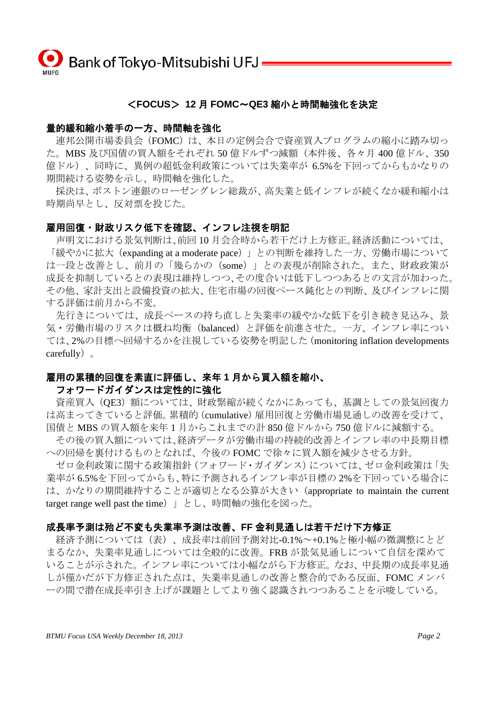#### <**FOCUS**> **12** 月 **FOMC**~**QE3** 縮小と時間軸強化を決定

#### 量的緩和縮小着手の一方、時間軸を強化

 連邦公開市場委員会(FOMC)は、本日の定例会合で資産買入プログラムの縮小に踏み切っ た。MBS 及び国債の買入額をそれぞれ 50 億ドルずつ減額(本件後、各々月 400 億ドル、350 億ドル)、同時に、異例の超低金利政策については失業率が 6.5%を下回ってからもかなりの 期間続ける姿勢を示し、時間軸を強化した。

 採決は、ボストン連銀のローゼングレン総裁が、高失業と低インフレが続くなか緩和縮小は 時期尚早とし、反対票を投じた。

#### 雇用回復・財政リスク低下を確認、インフレ注視を明記

 声明文における景気判断は、前回 10 月会合時から若干だけ上方修正。経済活動については、 「緩やかに拡大 (expanding at a moderate pace)」との判断を維持した一方、労働市場について は一段と改善とし、前月の「幾らかの(some)」との表現が削除された。また、財政政策が 成長を抑制しているとの表現は維持しつつ、その度合いは低下しつつあるとの文言が加わった。 その他、家計支出と設備投資の拡大、住宅市場の回復ペース鈍化との判断、及びインフレに関 する評価は前月から不変。

 先行きについては、成長ペースの持ち直しと失業率の緩やかな低下を引き続き見込み、景 気・労働市場のリスクは概ね均衡(balanced)と評価を前進させた。一方、インフレ率につい ては、2%の目標へ回帰するかを注視している姿勢を明記した(monitoring inflation developments carefully)。

#### 雇用の累積的回復を素直に評価し、来年 **1** 月から買入額を縮小、

#### フォワードガイダンスは定性的に強化

資産買入 (OE3) 額については、財政緊縮が続くなかにあっても、基調としての景気回復力 は高まってきていると評価。累積的(cumulative)雇用回復と労働市場見通しの改善を受けて、 国債と MBS の買入額を来年 1 月からこれまでの計 850 億ドルから 750 億ドルに減額する。

 その後の買入額については、経済データが労働市場の持続的改善とインフレ率の中長期目標 への回帰を裏付けるものとなれば、今後の FOMC で徐々に買入額を減少させる方針。

 ゼロ金利政策に関する政策指針(フォワード・ガイダンス)については、ゼロ金利政策は「失 業率が 6.5%を下回ってからも、特に予測されるインフレ率が目標の2%を下回っている場合に は、かなりの期間維持することが適切となる公算が大きい(appropriate to maintain the current target range well past the time)」とし、時間軸の強化を図った。

#### 成長率予測は殆ど不変も失業率予測は改善、**FF** 金利見通しは若干だけ下方修正

 経済予測については(表)、成長率は前回予測対比-0.1%~+0.1%と極小幅の微調整にとど まるなか、失業率見通しについては全般的に改善。FRB が景気見通しについて自信を深めて いることが示された。インフレ率については小幅ながら下方修正。なお、中長期の成長率見通 しが僅かだが下方修正された点は、失業率見通しの改善と整合的である反面、FOMC メンバ ーの間で潜在成長率引き上げが課題としてより強く認識されつつあることを示唆している。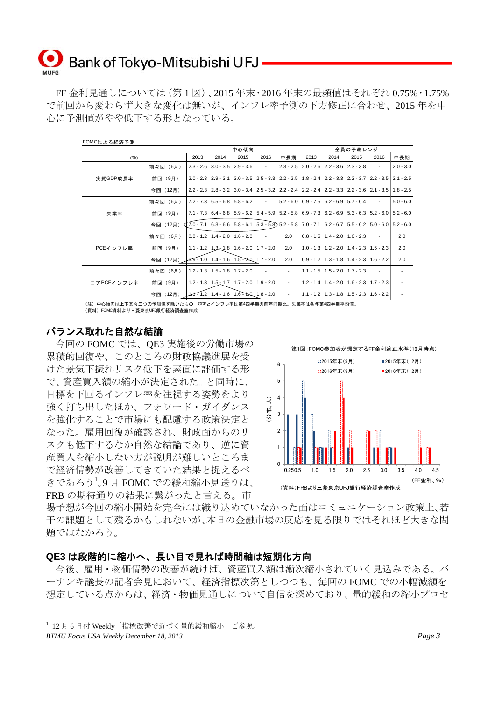# Bank of Tokyo-Mitsubishi UFJ

FF 金利見通しについては(第 1 図)、2015 年末・2016 年末の最頻値はそれぞれ 0.75%・1.75% で前回から変わらず大きな変化は無いが、インフレ率予測の下方修正に合わせ、2015 年を中 心に予測値がやや低下する形となっている。

| FOMCによる経済予測 |  |  |
|-------------|--|--|

|            |                                                  | 中心傾向 |                                     | 全員の予測レンジ |                                                                                                                               |                                                          |      |      |                                                                                   |      |             |
|------------|--------------------------------------------------|------|-------------------------------------|----------|-------------------------------------------------------------------------------------------------------------------------------|----------------------------------------------------------|------|------|-----------------------------------------------------------------------------------|------|-------------|
| (% )       |                                                  | 2013 | 2014                                | 2015     | 2016                                                                                                                          | 中長期                                                      | 2013 | 2014 | 2015                                                                              | 2016 | 中長期         |
|            | 前々回 (6月)                                         |      | $2.3 - 2.6$ $3.0 - 3.5$ $2.9 - 3.6$ |          | $\sim$                                                                                                                        | $\left[ 2.3 - 2.5 \right]$ 2.0 - 2.6 2.2 - 3.6 2.3 - 3.8 |      |      |                                                                                   |      | $2.0 - 3.0$ |
| 実質GDP成長率   | 前回 (9月)                                          |      |                                     |          | 2.0 - 2.3 2.9 - 3.1 3.0 - 3.5 2.5 - 3.3 2.2 - 2.5 1.8 - 2.4 2.2 - 3.3 2.2 - 3.7 2.2 - 3.5 2.1 - 2.5                           |                                                          |      |      |                                                                                   |      |             |
|            | 今回 (12月)                                         |      |                                     |          | 2.2 - 2.3 2.8 - 3.2 3.0 - 3.4 2.5 - 3.2 2.2 - 2.4 2.2 - 2.4 2.2 - 3.3 2.2 - 3.6 2.1 - 3.5 1.8 - 2.5                           |                                                          |      |      |                                                                                   |      |             |
|            | 前々回 (6月)                                         |      | $7.2 - 7.3$ 6.5 - 6.8 5.8 - 6.2     |          |                                                                                                                               | $15.2 - 6.0$ 6.9 - 7.5 6.2 - 6.9 5.7 - 6.4               |      |      |                                                                                   |      | $5.0 - 6.0$ |
| 失業率        | 前回 (9月)                                          |      |                                     |          | $7.1 - 7.3$ 6.4 - 6.8 5.9 - 6.2 5.4 - 5.9 5.2 - 5.8 6.9 - 7.3 6.2 - 6.9 5.3 - 6.3 5.2 - 6.0 5.2 - 6.0                         |                                                          |      |      |                                                                                   |      |             |
|            | 今回 (12月)                                         |      |                                     |          | $(7.0 - 7.1 \quad 6.3 - 6.6 \quad 5.8 - 6.1 \quad 5.3 - 5.8)$ 5.2 - 5.8   7.0 - 7.1 6.2 - 6.7 5.5 - 6.2 5.0 - 6.0   5.2 - 6.0 |                                                          |      |      |                                                                                   |      |             |
| PCEインフレ率   | 前々回 (6月)                                         |      | $0.8 - 1.2$ 1.4 - 2.0 1.6 - 2.0     |          |                                                                                                                               | 2.0                                                      |      |      | $0.8 - 1.5$ 1.4 - 2.0 1.6 - 2.3                                                   |      | 2.0         |
|            | 前回 (9月)                                          |      |                                     |          | $1.1 - 1.2$ $1.3 - 1.8$ $1.6 - 2.0$ $1.7 - 2.0$                                                                               | 2.0                                                      |      |      | $1.0 - 1.3$ $1.2 - 2.0$ $1.4 - 2.3$ $1.5 - 2.3$                                   |      | 2.0         |
|            | 今回 (12月) 4.9 - 1.0 1.4 - 1.6 1.5 - 2.0 1.7 - 2.0 |      |                                     |          |                                                                                                                               | 2.0                                                      |      |      | $\begin{bmatrix} 0.9 & -1.2 & 1.3 & -1.8 & 1.4 & -2.3 & 1.6 & -2.2 \end{bmatrix}$ |      | 2.0         |
| コアPCEインフレ率 | 前々回 (6月)                                         |      | $1.2 - 1.3$ 1.5 - 1.8 1.7 - 2.0     |          | $\overline{\phantom{a}}$                                                                                                      | $\sim$                                                   |      |      | $11.1 - 1.5$ 1.5 - 2.0 1.7 - 2.3                                                  |      |             |
|            | 前回 (9月)                                          |      |                                     |          | $1.2 - 1.3$ $1.5 - 1.7$ $1.7 - 2.0$ $1.9 - 2.0$                                                                               | $\sim$                                                   |      |      | $1.2 - 1.4$ 1.4 - 2.0 1.6 - 2.3 1.7 - 2.3                                         |      |             |
|            | 今回 (12月)<br>$\Delta$                             |      |                                     |          | $1.4 - 1.2$ 1.4 - 1.6 1.6 - 2.0 1.8 - 2.0<br><b>上面 CDDI / 【中国市场研究报告】中国市场开发中心 生學志法及左旋加加地形志指序</b>                               | $\sim$                                                   |      |      | $11.1 - 1.2$ 1.3 - 1.8 1.5 - 2.3 1.6 - 2.2                                        |      |             |

(注)中心傾向は上下其々三つの予測値を除いたもの。GDPとインフレ率は第4四半期の前年同期比。失業率は各年第4四半期平均値。 (資料)FOMC資料より三菱東京UFJ銀行経済調査室作成

### バランス取れた自然な結論

 今回の FOMC では、QE3 実施後の労働市場の 累積的回復や、このところの財政協議進展を受 けた景気下振れリスク低下を素直に評価する形 で、資産買入額の縮小が決定された。と同時に、 目標を下回るインフレ率を注視する姿勢をより 強く打ち出したほか、フォワード・ガイダンス を強化することで市場にも配慮する政策決定と なった。雇用回復が確認され、財政面からのリ スクも低下するなか自然な結論であり、逆に資 産買入を縮小しない方が説明が難しいところま で経済情勢が改善してきていた結果と捉えるべ きであろう<sup>1</sup> 。9 月 FOMC での緩和縮小見送りは、 FRB の期待通りの結果に繋がったと言える。市



場予想が今回の縮小開始を完全には織り込めていなかった面はコミュニケーション政策上、若 干の課題として残るかもしれないが、本日の金融市場の反応を見る限りではそれほど大きな問 題ではなかろう。

#### **QE3** は段階的に縮小へ、長い目で見れば時間軸は短期化方向

 今後、雇用・物価情勢の改善が続けば、資産買入額は漸次縮小されていく見込みである。バ ーナンキ議長の記者会見において、経済指標次第としつつも、毎回の FOMC での小幅減額を 想定している点からは、経済・物価見通しについて自信を深めており、量的緩和の縮小プロセ

*BTMU Focus USA Weekly December 18, 2013 Page 3* 

<sup>1</sup> 12 月 6 日付 Weekly「指標改善で近づく量的緩和縮小」ご参照。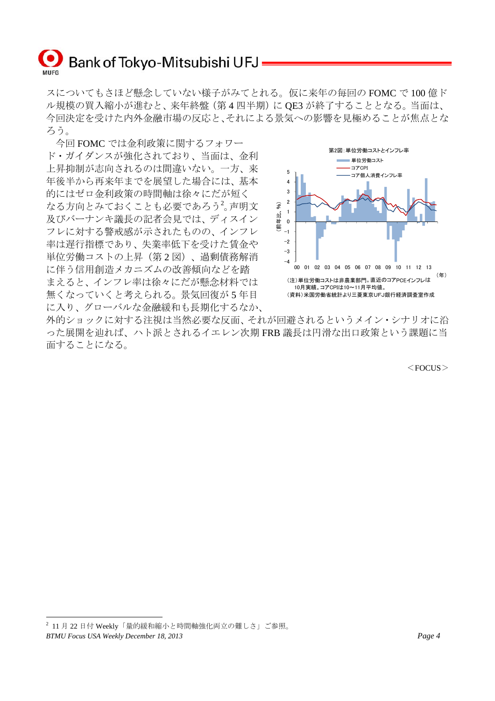# Bank of Tokyo-Mitsubishi UFJ

スについてもさほど懸念していない様子がみてとれる。仮に来年の毎回の FOMC で 100 億ド ル規模の買入縮小が進むと、来年終盤(第 4 四半期)に QE3 が終了することとなる。当面は、 今回決定を受けた内外金融市場の反応と、それによる景気への影響を見極めることが焦点とな ろう。

 今回 FOMC では金利政策に関するフォワー ド・ガイダンスが強化されており、当面は、金利 上昇抑制が志向されるのは間違いない。一方、来 年後半から再来年までを展望した場合には、基本 的にはゼロ金利政策の時間軸は徐々にだが短く なる方向とみておくことも必要であろう<sup>2</sup>。声明文 及びバーナンキ議長の記者会見では、ディスイン フレに対する警戒感が示されたものの、インフレ 率は遅行指標であり、失業率低下を受けた賃金や 単位労働コストの上昇(第 2 図)、過剰債務解消 に伴う信用創造メカニズムの改善傾向などを踏 まえると、インフレ率は徐々にだが懸念材料では 無くなっていくと考えられる。景気回復が 5 年目 に入り、グローバルな金融緩和も長期化するなか、



外的ショックに対する注視は当然必要な反面、それが回避されるというメイン・シナリオに沿 った展開を辿れば、ハト派とされるイエレン次期 FRB 議長は円滑な出口政策という課題に当 面することになる。

 $<$ FOCUS $>$ 

*BTMU Focus USA Weekly December 18, 2013 Page 4*   $^2$  11 月 22 日付 Weekly「量的緩和縮小と時間軸強化両立の難しさ」ご参照。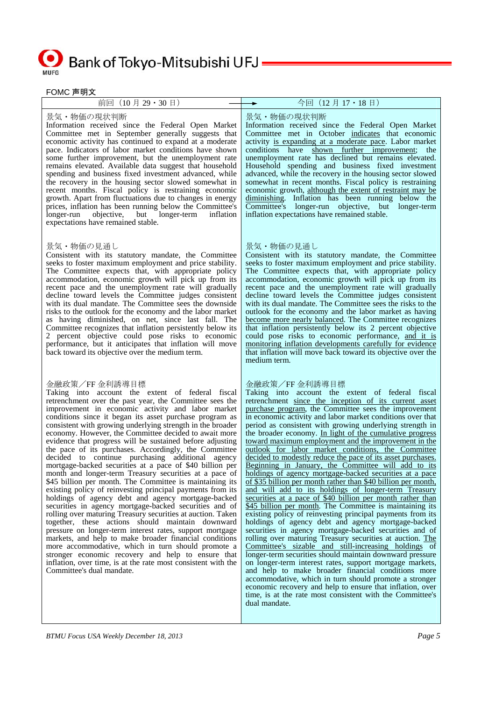## Bank of Tokyo-Mitsubishi UFJ -**MUFG**

FOMC 声明文

| ゠ ◡៲៴៲◡ ┌╴ヮ」へ                                                                                                                                                                                                                                                                                                                                                                                                                                                                                                                                                                                                                                                                                                                                                                                                                                                                                                                                                                                                                                                                                                                                                                                                                                                                                                                                                     |                                                                                                                                                                                                                                                                                                                                                                                                                                                                                                                                                                                                                                                                                                                                                                                                                                                                                                                                                                                                                                                                                                                                                                                                                                                                                                                                                                                                                                                                                                                                                                                                                   |
|-------------------------------------------------------------------------------------------------------------------------------------------------------------------------------------------------------------------------------------------------------------------------------------------------------------------------------------------------------------------------------------------------------------------------------------------------------------------------------------------------------------------------------------------------------------------------------------------------------------------------------------------------------------------------------------------------------------------------------------------------------------------------------------------------------------------------------------------------------------------------------------------------------------------------------------------------------------------------------------------------------------------------------------------------------------------------------------------------------------------------------------------------------------------------------------------------------------------------------------------------------------------------------------------------------------------------------------------------------------------|-------------------------------------------------------------------------------------------------------------------------------------------------------------------------------------------------------------------------------------------------------------------------------------------------------------------------------------------------------------------------------------------------------------------------------------------------------------------------------------------------------------------------------------------------------------------------------------------------------------------------------------------------------------------------------------------------------------------------------------------------------------------------------------------------------------------------------------------------------------------------------------------------------------------------------------------------------------------------------------------------------------------------------------------------------------------------------------------------------------------------------------------------------------------------------------------------------------------------------------------------------------------------------------------------------------------------------------------------------------------------------------------------------------------------------------------------------------------------------------------------------------------------------------------------------------------------------------------------------------------|
| 前回 (10月29·30日)                                                                                                                                                                                                                                                                                                                                                                                                                                                                                                                                                                                                                                                                                                                                                                                                                                                                                                                                                                                                                                                                                                                                                                                                                                                                                                                                                    | 今回 (12月17·18日)                                                                                                                                                                                                                                                                                                                                                                                                                                                                                                                                                                                                                                                                                                                                                                                                                                                                                                                                                                                                                                                                                                                                                                                                                                                                                                                                                                                                                                                                                                                                                                                                    |
| 景気・物価の現状判断<br>Information received since the Federal Open Market<br>Committee met in September generally suggests that<br>economic activity has continued to expand at a moderate<br>pace. Indicators of labor market conditions have shown<br>some further improvement, but the unemployment rate<br>remains elevated. Available data suggest that household<br>spending and business fixed investment advanced, while<br>the recovery in the housing sector slowed somewhat in<br>recent months. Fiscal policy is restraining economic<br>growth. Apart from fluctuations due to changes in energy<br>prices, inflation has been running below the Committee's<br>longer-run<br>objective, but longer-term<br>inflation<br>expectations have remained stable.                                                                                                                                                                                                                                                                                                                                                                                                                                                                                                                                                                                                   | 景気・物価の現状判断<br>Information received since the Federal Open Market<br>Committee met in October indicates that economic<br>activity is expanding at a moderate pace. Labor market<br>conditions have shown further improvement;<br>the<br>unemployment rate has declined but remains elevated.<br>Household spending and business fixed investment<br>advanced, while the recovery in the housing sector slowed<br>somewhat in recent months. Fiscal policy is restraining<br>economic growth, although the extent of restraint may be<br>diminishing. Inflation has been running below the<br>longer-run objective, but longer-term<br>Committee's<br>inflation expectations have remained stable.                                                                                                                                                                                                                                                                                                                                                                                                                                                                                                                                                                                                                                                                                                                                                                                                                                                                                                                  |
| 景気・物価の見通し<br>Consistent with its statutory mandate, the Committee<br>seeks to foster maximum employment and price stability.<br>The Committee expects that, with appropriate policy<br>accommodation, economic growth will pick up from its<br>recent pace and the unemployment rate will gradually<br>decline toward levels the Committee judges consistent<br>with its dual mandate. The Committee sees the downside<br>risks to the outlook for the economy and the labor market<br>as having diminished, on net, since last fall. The<br>Committee recognizes that inflation persistently below its<br>2 percent objective could pose risks to economic<br>performance, but it anticipates that inflation will move<br>back toward its objective over the medium term.                                                                                                                                                                                                                                                                                                                                                                                                                                                                                                                                                                                        | 景気・物価の見通し<br>Consistent with its statutory mandate, the Committee<br>seeks to foster maximum employment and price stability.<br>The Committee expects that, with appropriate policy<br>accommodation, economic growth will pick up from its<br>recent pace and the unemployment rate will gradually<br>decline toward levels the Committee judges consistent<br>with its dual mandate. The Committee sees the risks to the<br>outlook for the economy and the labor market as having<br>become more nearly balanced. The Committee recognizes<br>that inflation persistently below its 2 percent objective<br>could pose risks to economic performance, and it is<br><u>monitoring</u> inflation developments carefully for evidence<br>that inflation will move back toward its objective over the<br>medium term.                                                                                                                                                                                                                                                                                                                                                                                                                                                                                                                                                                                                                                                                                                                                                                                               |
| 金融政策/FF 金利誘導目標<br>Taking into account the extent of federal fiscal<br>retrenchment over the past year, the Committee sees the<br>improvement in economic activity and labor market<br>conditions since it began its asset purchase program as<br>consistent with growing underlying strength in the broader<br>economy. However, the Committee decided to await more<br>evidence that progress will be sustained before adjusting<br>the pace of its purchases. Accordingly, the Committee<br>decided to continue purchasing additional agency<br>mortgage-backed securities at a pace of \$40 billion per<br>month and longer-term Treasury securities at a pace of<br>\$45 billion per month. The Committee is maintaining its<br>existing policy of reinvesting principal payments from its<br>holdings of agency debt and agency mortgage-backed<br>securities in agency mortgage-backed securities and of<br>rolling over maturing Treasury securities at auction. Taken<br>together, these actions should maintain downward<br>pressure on longer-term interest rates, support mortgage<br>markets, and help to make broader financial conditions<br>more accommodative, which in turn should promote a<br>stronger economic recovery and help to ensure that<br>inflation, over time, is at the rate most consistent with the<br>Committee's dual mandate. | 金融政策/FF 金利誘導目標<br>Taking into account the extent of federal fiscal<br>retrenchment since the inception of its current asset<br>purchase program, the Committee sees the improvement<br>in economic activity and labor market conditions over that<br>period as consistent with growing underlying strength in<br>the broader economy. In light of the cumulative progress<br>toward maximum employment and the improvement in the<br>outlook for labor market conditions, the Committee<br>decided to modestly reduce the pace of its asset purchases.<br>Beginning in January, the Committee will add to its<br>holdings of agency mortgage-backed securities at a pace<br>of \$35 billion per month rather than \$40 billion per month,<br>and will add to its holdings of longer-term Treasury<br>securities at a pace of \$40 billion per month rather than<br>\$45 billion per month. The Committee is maintaining its<br>existing policy of reinvesting principal payments from its<br>holdings of agency debt and agency mortgage-backed<br>securities in agency mortgage-backed securities and of<br>rolling over maturing Treasury securities at auction. The<br>Committee's sizable and still-increasing holdings of<br>longer-term securities should maintain downward pressure<br>on longer-term interest rates, support mortgage markets,<br>and help to make broader financial conditions more<br>accommodative, which in turn should promote a stronger<br>economic recovery and help to ensure that inflation, over<br>time, is at the rate most consistent with the Committee's<br>dual mandate. |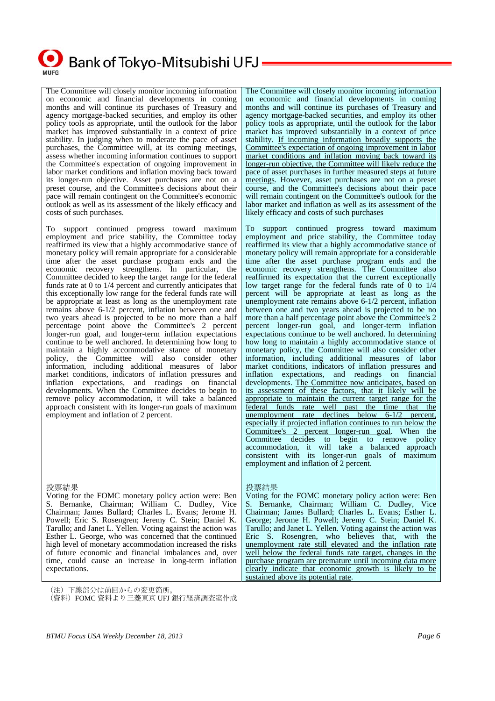

# Bank of Tokyo-Mitsubishi UFJ -

The Committee will closely monitor incoming information on economic and financial developments in coming months and will continue its purchases of Treasury and agency mortgage-backed securities, and employ its other policy tools as appropriate, until the outlook for the labor market has improved substantially in a context of price stability. In judging when to moderate the pace of asset purchases, the Committee will, at its coming meetings, assess whether incoming information continues to support the Committee's expectation of ongoing improvement in labor market conditions and inflation moving back toward its longer-run objective. Asset purchases are not on a preset course, and the Committee's decisions about their pace will remain contingent on the Committee's economic outlook as well as its assessment of the likely efficacy and costs of such purchases.

To support continued progress toward maximum employment and price stability, the Committee today reaffirmed its view that a highly accommodative stance of monetary policy will remain appropriate for a considerable time after the asset purchase program ends and the economic recovery strengthens. In particular, the Committee decided to keep the target range for the federal funds rate at 0 to 1/4 percent and currently anticipates that this exceptionally low range for the federal funds rate will be appropriate at least as long as the unemployment rate remains above 6-1/2 percent, inflation between one and two years ahead is projected to be no more than a half percentage point above the Committee's 2 percent longer-run goal, and longer-term inflation expectations continue to be well anchored. In determining how long to maintain a highly accommodative stance of monetary policy, the Committee will also consider other information, including additional measures of labor market conditions, indicators of inflation pressures and inflation expectations, and readings on financial developments. When the Committee decides to begin to remove policy accommodation, it will take a balanced approach consistent with its longer-run goals of maximum employment and inflation of 2 percent.

投票結果

Voting for the FOMC monetary policy action were: Ben S. Bernanke, Chairman; William C. Dudley, Vice Chairman; James Bullard; Charles L. Evans; Jerome H. Powell; Eric S. Rosengren; Jeremy C. Stein; Daniel K. Tarullo; and Janet L. Yellen. Voting against the action was Esther L. George, who was concerned that the continued high level of monetary accommodation increased the risks of future economic and financial imbalances and, over time, could cause an increase in long-term inflation expectations.

(注)下線部分は前回からの変更箇所。

The Committee will closely monitor incoming information on economic and financial developments in coming months and will continue its purchases of Treasury and agency mortgage-backed securities, and employ its other policy tools as appropriate, until the outlook for the labor market has improved substantially in a context of price stability. If incoming information broadly supports the Committee's expectation of ongoing improvement in labor market conditions and inflation moving back toward its longer-run objective, the Committee will likely reduce the pace of asset purchases in further measured steps at future meetings. However, asset purchases are not on a preset course, and the Committee's decisions about their pace will remain contingent on the Committee's outlook for the labor market and inflation as well as its assessment of the likely efficacy and costs of such purchases

To support continued progress toward maximum employment and price stability, the Committee today reaffirmed its view that a highly accommodative stance of monetary policy will remain appropriate for a considerable time after the asset purchase program ends and the economic recovery strengthens. The Committee also reaffirmed its expectation that the current exceptionally low target range for the federal funds rate of 0 to  $1/4$ percent will be appropriate at least as long as the unemployment rate remains above 6-1/2 percent, inflation between one and two years ahead is projected to be no more than a half percentage point above the Committee's 2 percent longer-run goal, and longer-term inflation expectations continue to be well anchored. In determining how long to maintain a highly accommodative stance of monetary policy, the Committee will also consider other information, including additional measures of labor market conditions, indicators of inflation pressures and inflation expectations, and readings on financial developments. The Committee now anticipates, based on its assessment of these factors, that it likely will be appropriate to maintain the current target range for the federal funds rate well past the time that the unemployment rate declines below 6-1/2 percent, especially if projected inflation continues to run below the Committee's 2 percent longer-run goal. When the Committee decides to begin to remove policy accommodation, it will take a balanced approach consistent with its longer-run goals of maximum employment and inflation of 2 percent.

#### 投票結果

Voting for the FOMC monetary policy action were: Ben S. Bernanke, Chairman; William C. Dudley, Vice Chairman; James Bullard; Charles L. Evans; Esther L. George; Jerome H. Powell; Jeremy C. Stein; Daniel K. Tarullo; and Janet L. Yellen. Voting against the action was Eric S. Rosengren, who believes that, with the unemployment rate still elevated and the inflation rate well below the federal funds rate target, changes in the purchase program are premature until incoming data more clearly indicate that economic growth is likely to be sustained above its potential rate.

<sup>(</sup>資料)FOMC 資料より三菱東京 UFJ 銀行経済調査室作成